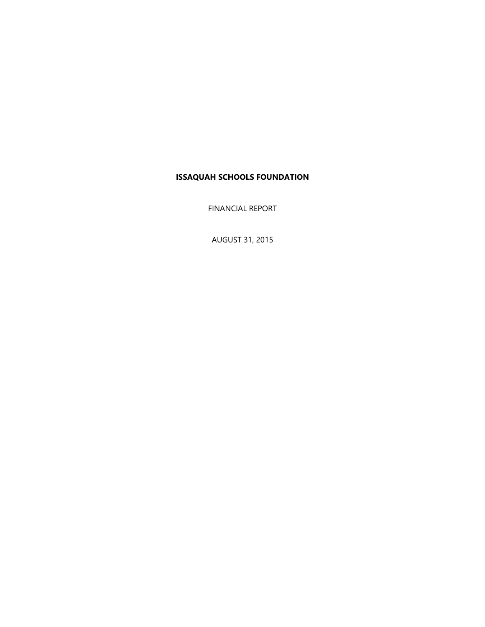FINANCIAL REPORT

AUGUST 31, 2015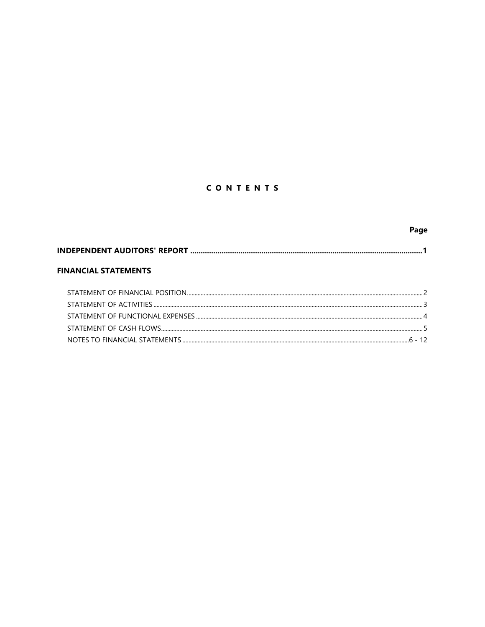# CONTENTS

|                             | Page |
|-----------------------------|------|
|                             |      |
| <b>FINANCIAL STATEMENTS</b> |      |
|                             |      |
|                             |      |
|                             |      |
|                             |      |
|                             |      |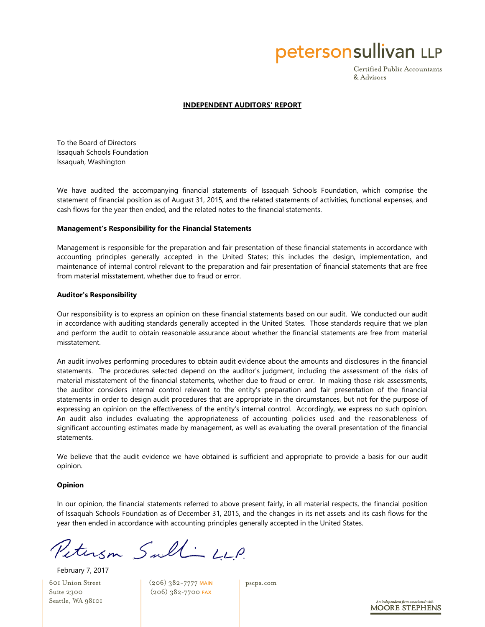petersonsullivan LLP

Certified Public Accountants & Advisors

#### **INDEPENDENT AUDITORS' REPORT**

To the Board of Directors Issaquah Schools Foundation Issaquah, Washington

We have audited the accompanying financial statements of Issaquah Schools Foundation, which comprise the statement of financial position as of August 31, 2015, and the related statements of activities, functional expenses, and cash flows for the year then ended, and the related notes to the financial statements.

#### **Management's Responsibility for the Financial Statements**

Management is responsible for the preparation and fair presentation of these financial statements in accordance with accounting principles generally accepted in the United States; this includes the design, implementation, and maintenance of internal control relevant to the preparation and fair presentation of financial statements that are free from material misstatement, whether due to fraud or error.

#### **Auditor's Responsibility**

Our responsibility is to express an opinion on these financial statements based on our audit. We conducted our audit in accordance with auditing standards generally accepted in the United States. Those standards require that we plan and perform the audit to obtain reasonable assurance about whether the financial statements are free from material misstatement.

An audit involves performing procedures to obtain audit evidence about the amounts and disclosures in the financial statements. The procedures selected depend on the auditor's judgment, including the assessment of the risks of material misstatement of the financial statements, whether due to fraud or error. In making those risk assessments, the auditor considers internal control relevant to the entity's preparation and fair presentation of the financial statements in order to design audit procedures that are appropriate in the circumstances, but not for the purpose of expressing an opinion on the effectiveness of the entity's internal control. Accordingly, we express no such opinion. An audit also includes evaluating the appropriateness of accounting policies used and the reasonableness of significant accounting estimates made by management, as well as evaluating the overall presentation of the financial statements.

We believe that the audit evidence we have obtained is sufficient and appropriate to provide a basis for our audit opinion.

#### **Opinion**

In our opinion, the financial statements referred to above present fairly, in all material respects, the financial position of Issaquah Schools Foundation as of December 31, 2015, and the changes in its net assets and its cash flows for the year then ended in accordance with accounting principles generally accepted in the United States.

Peterson Sult LLP.

601 Union Street Suite 2300 Seattle, WA 98101 February 7, 2017

(206) 382-7777 MAIN (206) 382-7700 FAX

pscpa.com

**MOORE STEPHENS**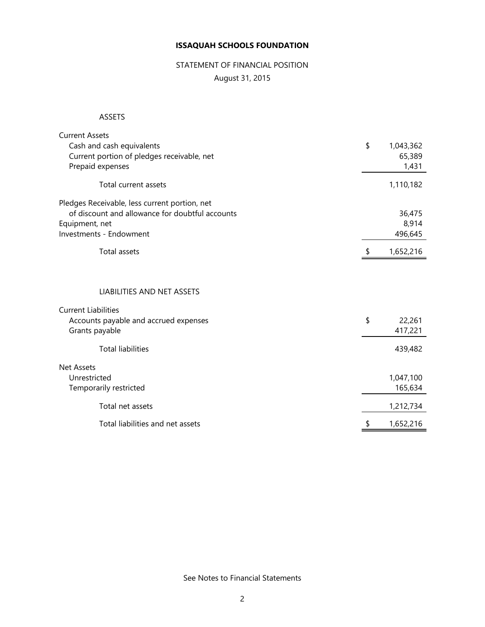# STATEMENT OF FINANCIAL POSITION

August 31, 2015

### ASSETS

| <b>Current Assets</b>                           |                 |
|-------------------------------------------------|-----------------|
| Cash and cash equivalents                       | \$<br>1,043,362 |
| Current portion of pledges receivable, net      | 65,389          |
| Prepaid expenses                                | 1,431           |
|                                                 |                 |
| Total current assets                            | 1,110,182       |
| Pledges Receivable, less current portion, net   |                 |
| of discount and allowance for doubtful accounts | 36,475          |
| Equipment, net                                  | 8,914           |
| Investments - Endowment                         | 496,645         |
| Total assets                                    | 1,652,216       |
| LIABILITIES AND NET ASSETS                      |                 |
| <b>Current Liabilities</b>                      |                 |
| Accounts payable and accrued expenses           | \$<br>22,261    |
| Grants payable                                  | 417,221         |
|                                                 |                 |
| <b>Total liabilities</b>                        | 439,482         |
| <b>Net Assets</b>                               |                 |
| Unrestricted                                    | 1,047,100       |
| Temporarily restricted                          | 165,634         |
| Total net assets                                | 1,212,734       |
| Total liabilities and net assets                | \$<br>1,652,216 |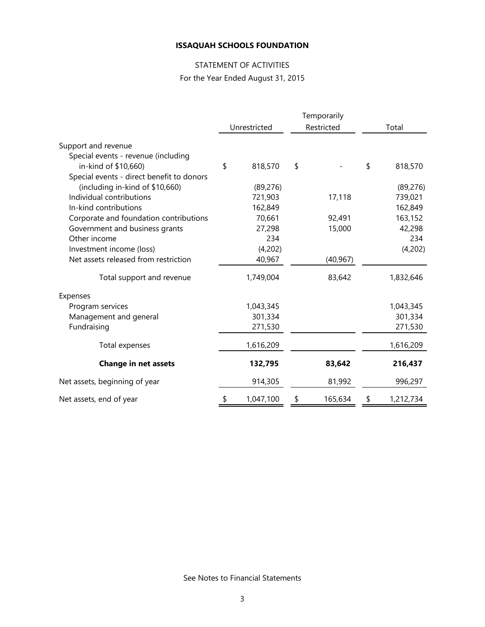# STATEMENT OF ACTIVITIES

For the Year Ended August 31, 2015

|                                           | Temporarily |              |    |            |       |           |  |
|-------------------------------------------|-------------|--------------|----|------------|-------|-----------|--|
|                                           |             | Unrestricted |    | Restricted | Total |           |  |
| Support and revenue                       |             |              |    |            |       |           |  |
| Special events - revenue (including       |             |              |    |            |       |           |  |
| in-kind of \$10,660)                      | \$          | 818,570      | \$ |            | \$    | 818,570   |  |
| Special events - direct benefit to donors |             |              |    |            |       |           |  |
| (including in-kind of \$10,660)           |             | (89, 276)    |    |            |       | (89, 276) |  |
| Individual contributions                  |             | 721,903      |    | 17,118     |       | 739,021   |  |
| In-kind contributions                     |             | 162,849      |    |            |       | 162,849   |  |
| Corporate and foundation contributions    |             | 70,661       |    | 92,491     |       | 163,152   |  |
| Government and business grants            |             | 27,298       |    | 15,000     |       | 42,298    |  |
| Other income                              |             | 234          |    |            |       | 234       |  |
| Investment income (loss)                  |             | (4,202)      |    |            |       | (4,202)   |  |
| Net assets released from restriction      |             | 40,967       |    | (40, 967)  |       |           |  |
| Total support and revenue                 |             | 1,749,004    |    | 83,642     |       | 1,832,646 |  |
| Expenses                                  |             |              |    |            |       |           |  |
| Program services                          |             | 1,043,345    |    |            |       | 1,043,345 |  |
| Management and general                    |             | 301,334      |    |            |       | 301,334   |  |
| Fundraising                               |             | 271,530      |    |            |       | 271,530   |  |
| Total expenses                            |             | 1,616,209    |    |            |       | 1,616,209 |  |
| <b>Change in net assets</b>               |             | 132,795      |    | 83,642     |       | 216,437   |  |
| Net assets, beginning of year             |             | 914,305      |    | 81,992     |       | 996,297   |  |
| Net assets, end of year                   | \$          | 1,047,100    | \$ | 165,634    | \$    | 1,212,734 |  |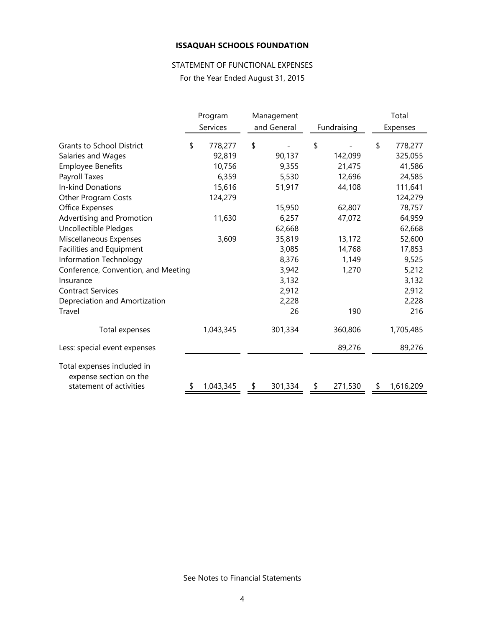# STATEMENT OF FUNCTIONAL EXPENSES

For the Year Ended August 31, 2015

|                                                      | Program       | Management |             |             |         | Total           |
|------------------------------------------------------|---------------|------------|-------------|-------------|---------|-----------------|
|                                                      | Services      |            | and General | Fundraising |         | Expenses        |
| <b>Grants to School District</b>                     | \$<br>778,277 | \$         |             | \$          |         | \$<br>778,277   |
| Salaries and Wages                                   | 92,819        |            | 90,137      |             | 142,099 | 325,055         |
| <b>Employee Benefits</b>                             | 10,756        |            | 9,355       |             | 21,475  | 41,586          |
| Payroll Taxes                                        | 6,359         |            | 5,530       |             | 12,696  | 24,585          |
| <b>In-kind Donations</b>                             | 15,616        |            | 51,917      |             | 44,108  | 111,641         |
| Other Program Costs                                  | 124,279       |            |             |             |         | 124,279         |
| Office Expenses                                      |               |            | 15,950      |             | 62,807  | 78,757          |
| Advertising and Promotion                            | 11,630        |            | 6,257       |             | 47,072  | 64,959          |
| Uncollectible Pledges                                |               |            | 62,668      |             |         | 62,668          |
| Miscellaneous Expenses                               | 3,609         |            | 35,819      |             | 13,172  | 52,600          |
| Facilities and Equipment                             |               |            | 3,085       |             | 14,768  | 17,853          |
| Information Technology                               |               |            | 8,376       |             | 1,149   | 9,525           |
| Conference, Convention, and Meeting                  |               |            | 3,942       |             | 1,270   | 5,212           |
| Insurance                                            |               |            | 3,132       |             |         | 3,132           |
| <b>Contract Services</b>                             |               |            | 2,912       |             |         | 2,912           |
| Depreciation and Amortization                        |               |            | 2,228       |             |         | 2,228           |
| Travel                                               |               |            | 26          |             | 190     | 216             |
| Total expenses                                       | 1,043,345     |            | 301,334     |             | 360,806 | 1,705,485       |
| Less: special event expenses                         |               |            |             |             | 89,276  | 89,276          |
| Total expenses included in<br>expense section on the |               |            |             |             |         |                 |
| statement of activities                              | 1,043,345     | \$         | 301,334     | \$          | 271,530 | \$<br>1,616,209 |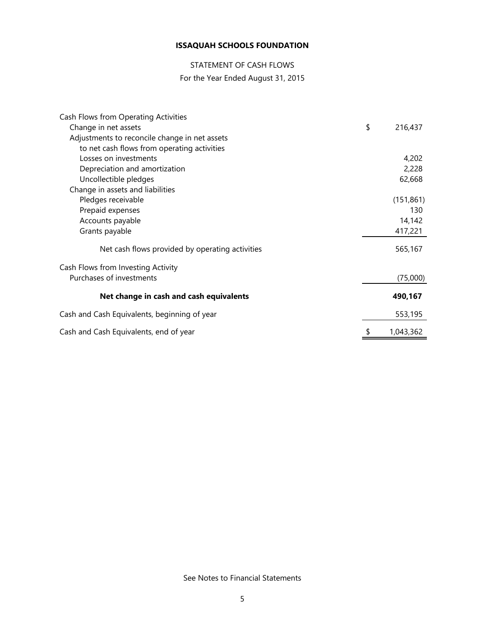# STATEMENT OF CASH FLOWS

# For the Year Ended August 31, 2015

| Cash Flows from Operating Activities            |               |
|-------------------------------------------------|---------------|
| Change in net assets                            | \$<br>216,437 |
| Adjustments to reconcile change in net assets   |               |
| to net cash flows from operating activities     |               |
| Losses on investments                           | 4,202         |
| Depreciation and amortization                   | 2,228         |
| Uncollectible pledges                           | 62,668        |
| Change in assets and liabilities                |               |
| Pledges receivable                              | (151, 861)    |
| Prepaid expenses                                | 130           |
| Accounts payable                                | 14,142        |
| Grants payable                                  | 417,221       |
| Net cash flows provided by operating activities | 565,167       |
| Cash Flows from Investing Activity              |               |
| Purchases of investments                        | (75,000)      |
| Net change in cash and cash equivalents         | 490,167       |
| Cash and Cash Equivalents, beginning of year    | 553,195       |
| Cash and Cash Equivalents, end of year          | 1,043,362     |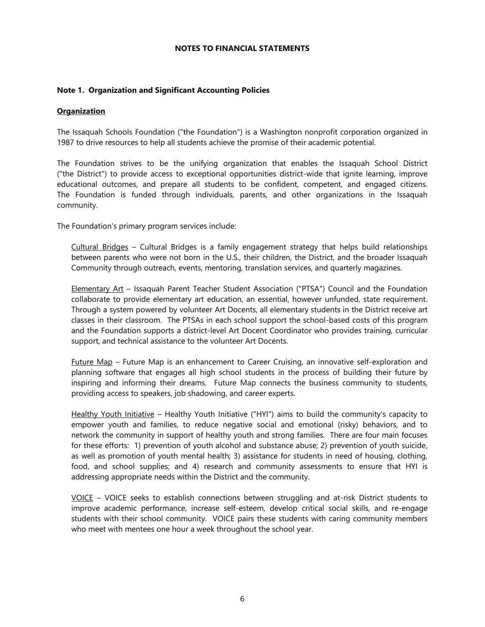#### **NOTES TO FINANCIAL STATEMENTS**

#### **Note 1. Organization and Significant Accounting Policies**

#### **Organization**

The Issaquah Schools Foundation ("the Foundation") is a Washington nonprofit corporation organized in 1987 to drive resources to help all students achieve the promise of their academic potential.

The Foundation strives to be the unifying organization that enables the Issaquah School District ("the District") to provide access to exceptional opportunities district-wide that ignite learning, improve educational outcomes, and prepare all students to be confident, competent, and engaged citizens. The Foundation is funded through individuals, parents, and other organizations in the Issaquah community.

The Foundation's primary program services include:

Cultural Bridges – Cultural Bridges is a family engagement strategy that helps build relationships between parents who were not born in the U.S., their children, the District, and the broader Issaquah Community through outreach, events, mentoring, translation services, and quarterly magazines.

Elementary Art – Issaquah Parent Teacher Student Association ("PTSA") Council and the Foundation collaborate to provide elementary art education, an essential, however unfunded, state requirement. Through a system powered by volunteer Art Docents, all elementary students in the District receive art classes in their classroom. The PTSAs in each school support the school-based costs of this program and the Foundation supports a district-level Art Docent Coordinator who provides training, curricular support, and technical assistance to the volunteer Art Docents.

Future Map – Future Map is an enhancement to Career Cruising, an innovative self-exploration and planning software that engages all high school students in the process of building their future by inspiring and informing their dreams. Future Map connects the business community to students, providing access to speakers, job shadowing, and career experts.

Healthy Youth Initiative – Healthy Youth Initiative ("HYI") aims to build the community's capacity to empower youth and families, to reduce negative social and emotional (risky) behaviors, and to network the community in support of healthy youth and strong families. There are four main focuses for these efforts: 1) prevention of youth alcohol and substance abuse; 2) prevention of youth suicide, as well as promotion of youth mental health; 3) assistance for students in need of housing, clothing, food, and school supplies; and 4) research and community assessments to ensure that HYI is addressing appropriate needs within the District and the community.

VOICE – VOICE seeks to establish connections between struggling and at-risk District students to improve academic performance, increase self-esteem, develop critical social skills, and re-engage students with their school community. VOICE pairs these students with caring community members who meet with mentees one hour a week throughout the school year.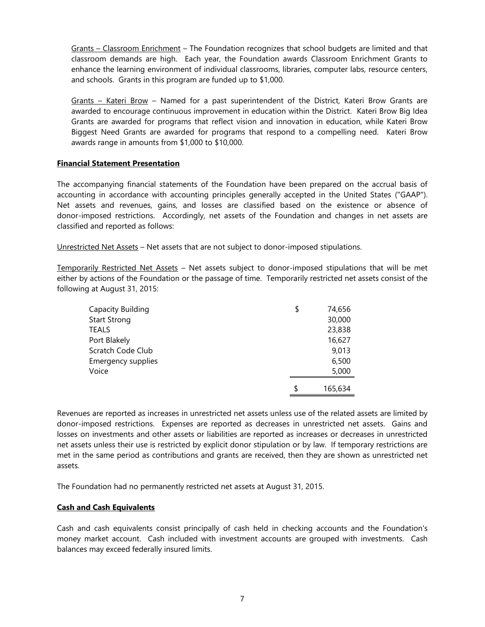Grants – Classroom Enrichment – The Foundation recognizes that school budgets are limited and that classroom demands are high. Each year, the Foundation awards Classroom Enrichment Grants to enhance the learning environment of individual classrooms, libraries, computer labs, resource centers, and schools. Grants in this program are funded up to \$1,000.

Grants – Kateri Brow – Named for a past superintendent of the District, Kateri Brow Grants are awarded to encourage continuous improvement in education within the District. Kateri Brow Big Idea Grants are awarded for programs that reflect vision and innovation in education, while Kateri Brow Biggest Need Grants are awarded for programs that respond to a compelling need. Kateri Brow awards range in amounts from \$1,000 to \$10,000.

#### **Financial Statement Presentation**

The accompanying financial statements of the Foundation have been prepared on the accrual basis of accounting in accordance with accounting principles generally accepted in the United States ("GAAP"). Net assets and revenues, gains, and losses are classified based on the existence or absence of donor-imposed restrictions. Accordingly, net assets of the Foundation and changes in net assets are classified and reported as follows:

Unrestricted Net Assets – Net assets that are not subject to donor-imposed stipulations.

Temporarily Restricted Net Assets - Net assets subject to donor-imposed stipulations that will be met either by actions of the Foundation or the passage of time. Temporarily restricted net assets consist of the following at August 31, 2015:

| Capacity Building   | \$<br>74,656  |
|---------------------|---------------|
| <b>Start Strong</b> | 30,000        |
| <b>TEALS</b>        | 23,838        |
| Port Blakely        | 16,627        |
| Scratch Code Club   | 9,013         |
| Emergency supplies  | 6,500         |
| Voice               | 5,000         |
|                     | \$<br>165,634 |

Revenues are reported as increases in unrestricted net assets unless use of the related assets are limited by donor-imposed restrictions. Expenses are reported as decreases in unrestricted net assets. Gains and losses on investments and other assets or liabilities are reported as increases or decreases in unrestricted net assets unless their use is restricted by explicit donor stipulation or by law. If temporary restrictions are met in the same period as contributions and grants are received, then they are shown as unrestricted net assets.

The Foundation had no permanently restricted net assets at August 31, 2015.

#### **Cash and Cash Equivalents**

Cash and cash equivalents consist principally of cash held in checking accounts and the Foundation's money market account. Cash included with investment accounts are grouped with investments. Cash balances may exceed federally insured limits.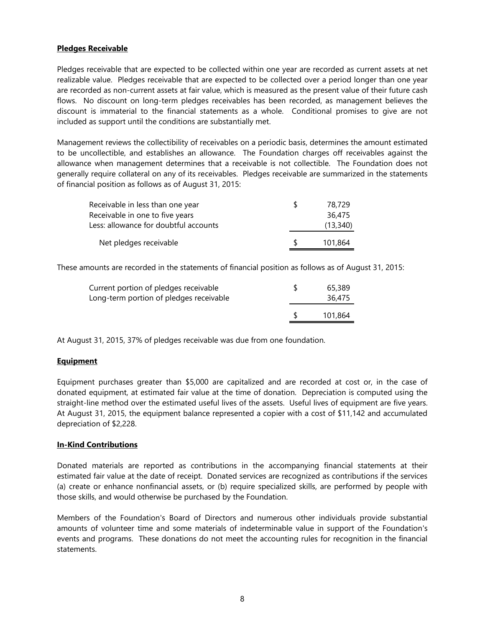## **Pledges Receivable**

Pledges receivable that are expected to be collected within one year are recorded as current assets at net realizable value. Pledges receivable that are expected to be collected over a period longer than one year are recorded as non-current assets at fair value, which is measured as the present value of their future cash flows. No discount on long-term pledges receivables has been recorded, as management believes the discount is immaterial to the financial statements as a whole. Conditional promises to give are not included as support until the conditions are substantially met.

Management reviews the collectibility of receivables on a periodic basis, determines the amount estimated to be uncollectible, and establishes an allowance. The Foundation charges off receivables against the allowance when management determines that a receivable is not collectible. The Foundation does not generally require collateral on any of its receivables. Pledges receivable are summarized in the statements of financial position as follows as of August 31, 2015:

| Receivable in less than one year      |     | 78,729   |
|---------------------------------------|-----|----------|
| Receivable in one to five years       |     | 36,475   |
| Less: allowance for doubtful accounts |     | (13,340) |
| Net pledges receivable                | -SG | 101.864  |

These amounts are recorded in the statements of financial position as follows as of August 31, 2015:

| Current portion of pledges receivable<br>Long-term portion of pledges receivable | 65,389<br>36,475 |  |
|----------------------------------------------------------------------------------|------------------|--|
|                                                                                  | 101.864          |  |

At August 31, 2015, 37% of pledges receivable was due from one foundation.

#### **Equipment**

Equipment purchases greater than \$5,000 are capitalized and are recorded at cost or, in the case of donated equipment, at estimated fair value at the time of donation. Depreciation is computed using the straight-line method over the estimated useful lives of the assets. Useful lives of equipment are five years. At August 31, 2015, the equipment balance represented a copier with a cost of \$11,142 and accumulated depreciation of \$2,228.

#### **In-Kind Contributions**

Donated materials are reported as contributions in the accompanying financial statements at their estimated fair value at the date of receipt. Donated services are recognized as contributions if the services (a) create or enhance nonfinancial assets, or (b) require specialized skills, are performed by people with those skills, and would otherwise be purchased by the Foundation.

Members of the Foundation's Board of Directors and numerous other individuals provide substantial amounts of volunteer time and some materials of indeterminable value in support of the Foundation's events and programs. These donations do not meet the accounting rules for recognition in the financial statements.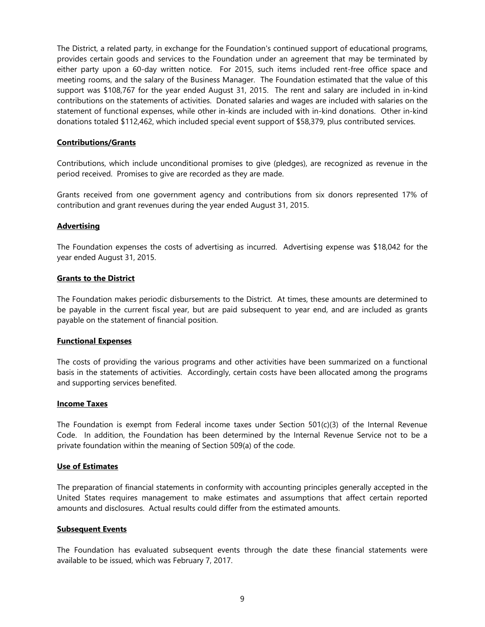The District, a related party, in exchange for the Foundation's continued support of educational programs, provides certain goods and services to the Foundation under an agreement that may be terminated by either party upon a 60-day written notice. For 2015, such items included rent-free office space and meeting rooms, and the salary of the Business Manager. The Foundation estimated that the value of this support was \$108,767 for the year ended August 31, 2015. The rent and salary are included in in-kind contributions on the statements of activities. Donated salaries and wages are included with salaries on the statement of functional expenses, while other in-kinds are included with in-kind donations. Other in-kind donations totaled \$112,462, which included special event support of \$58,379, plus contributed services.

#### **Contributions/Grants**

Contributions, which include unconditional promises to give (pledges), are recognized as revenue in the period received. Promises to give are recorded as they are made.

Grants received from one government agency and contributions from six donors represented 17% of contribution and grant revenues during the year ended August 31, 2015.

#### **Advertising**

The Foundation expenses the costs of advertising as incurred. Advertising expense was \$18,042 for the year ended August 31, 2015.

#### **Grants to the District**

The Foundation makes periodic disbursements to the District. At times, these amounts are determined to be payable in the current fiscal year, but are paid subsequent to year end, and are included as grants payable on the statement of financial position.

#### **Functional Expenses**

The costs of providing the various programs and other activities have been summarized on a functional basis in the statements of activities. Accordingly, certain costs have been allocated among the programs and supporting services benefited.

#### **Income Taxes**

The Foundation is exempt from Federal income taxes under Section 501(c)(3) of the Internal Revenue Code. In addition, the Foundation has been determined by the Internal Revenue Service not to be a private foundation within the meaning of Section 509(a) of the code.

#### **Use of Estimates**

The preparation of financial statements in conformity with accounting principles generally accepted in the United States requires management to make estimates and assumptions that affect certain reported amounts and disclosures. Actual results could differ from the estimated amounts.

#### **Subsequent Events**

The Foundation has evaluated subsequent events through the date these financial statements were available to be issued, which was February 7, 2017.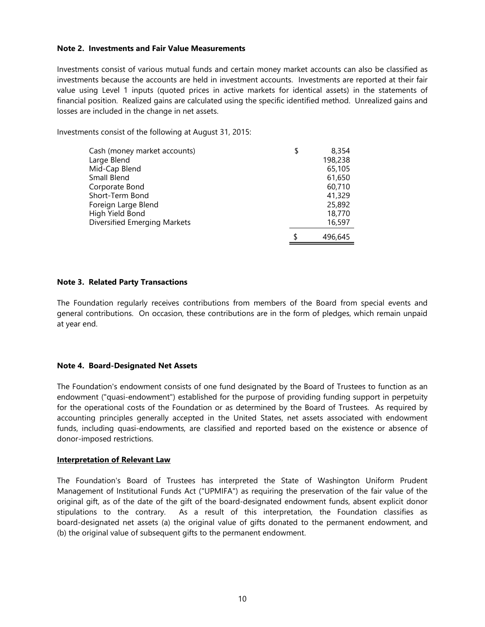#### **Note 2. Investments and Fair Value Measurements**

Investments consist of various mutual funds and certain money market accounts can also be classified as investments because the accounts are held in investment accounts. Investments are reported at their fair value using Level 1 inputs (quoted prices in active markets for identical assets) in the statements of financial position. Realized gains are calculated using the specific identified method. Unrealized gains and losses are included in the change in net assets.

Investments consist of the following at August 31, 2015:

| Cash (money market accounts) | \$<br>8,354 |  |
|------------------------------|-------------|--|
| Large Blend                  | 198,238     |  |
| Mid-Cap Blend                | 65,105      |  |
| Small Blend                  | 61,650      |  |
| Corporate Bond               | 60,710      |  |
| Short-Term Bond              | 41,329      |  |
| Foreign Large Blend          | 25,892      |  |
| High Yield Bond              | 18,770      |  |
| Diversified Emerging Markets | 16,597      |  |
|                              | 496,645     |  |

#### **Note 3. Related Party Transactions**

The Foundation regularly receives contributions from members of the Board from special events and general contributions. On occasion, these contributions are in the form of pledges, which remain unpaid at year end.

#### **Note 4. Board-Designated Net Assets**

The Foundation's endowment consists of one fund designated by the Board of Trustees to function as an endowment ("quasi-endowment") established for the purpose of providing funding support in perpetuity for the operational costs of the Foundation or as determined by the Board of Trustees. As required by accounting principles generally accepted in the United States, net assets associated with endowment funds, including quasi-endowments, are classified and reported based on the existence or absence of donor-imposed restrictions.

#### **Interpretation of Relevant Law**

The Foundation's Board of Trustees has interpreted the State of Washington Uniform Prudent Management of Institutional Funds Act ("UPMIFA") as requiring the preservation of the fair value of the original gift, as of the date of the gift of the board-designated endowment funds, absent explicit donor stipulations to the contrary. As a result of this interpretation, the Foundation classifies as board-designated net assets (a) the original value of gifts donated to the permanent endowment, and (b) the original value of subsequent gifts to the permanent endowment.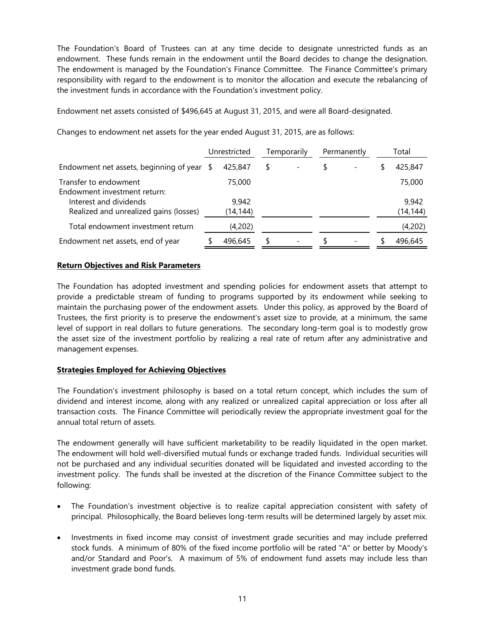The Foundation's Board of Trustees can at any time decide to designate unrestricted funds as an endowment. These funds remain in the endowment until the Board decides to change the designation. The endowment is managed by the Foundation's Finance Committee. The Finance Committee's primary responsibility with regard to the endowment is to monitor the allocation and execute the rebalancing of the investment funds in accordance with the Foundation's investment policy.

Endowment net assets consisted of \$496,645 at August 31, 2015, and were all Board-designated.

|                                                                  | Unrestricted |                    | Temporarily |  | Permanently |                          | Total              |
|------------------------------------------------------------------|--------------|--------------------|-------------|--|-------------|--------------------------|--------------------|
| Endowment net assets, beginning of year $$$                      |              | 425,847            | \$          |  |             | $\overline{\phantom{0}}$ | 425,847            |
| Transfer to endowment<br>Endowment investment return:            |              | 75,000             |             |  |             |                          | 75,000             |
| Interest and dividends<br>Realized and unrealized gains (losses) |              | 9,942<br>(14, 144) |             |  |             |                          | 9,942<br>(14, 144) |
| Total endowment investment return                                |              | (4,202)            |             |  |             |                          | (4,202)            |
| Endowment net assets, end of year                                |              | 496.645            | S           |  |             | $\overline{\phantom{a}}$ | 496.645            |

Changes to endowment net assets for the year ended August 31, 2015, are as follows:

## **Return Objectives and Risk Parameters**

The Foundation has adopted investment and spending policies for endowment assets that attempt to provide a predictable stream of funding to programs supported by its endowment while seeking to maintain the purchasing power of the endowment assets. Under this policy, as approved by the Board of Trustees, the first priority is to preserve the endowment's asset size to provide, at a minimum, the same level of support in real dollars to future generations. The secondary long-term goal is to modestly grow the asset size of the investment portfolio by realizing a real rate of return after any administrative and management expenses.

# **Strategies Employed for Achieving Objectives**

The Foundation's investment philosophy is based on a total return concept, which includes the sum of dividend and interest income, along with any realized or unrealized capital appreciation or loss after all transaction costs. The Finance Committee will periodically review the appropriate investment goal for the annual total return of assets.

The endowment generally will have sufficient marketability to be readily liquidated in the open market. The endowment will hold well-diversified mutual funds or exchange traded funds. Individual securities will not be purchased and any individual securities donated will be liquidated and invested according to the investment policy. The funds shall be invested at the discretion of the Finance Committee subject to the following:

- The Foundation's investment objective is to realize capital appreciation consistent with safety of principal. Philosophically, the Board believes long-term results will be determined largely by asset mix.
- Investments in fixed income may consist of investment grade securities and may include preferred stock funds. A minimum of 80% of the fixed income portfolio will be rated "A" or better by Moody's and/or Standard and Poor's. A maximum of 5% of endowment fund assets may include less than investment grade bond funds.